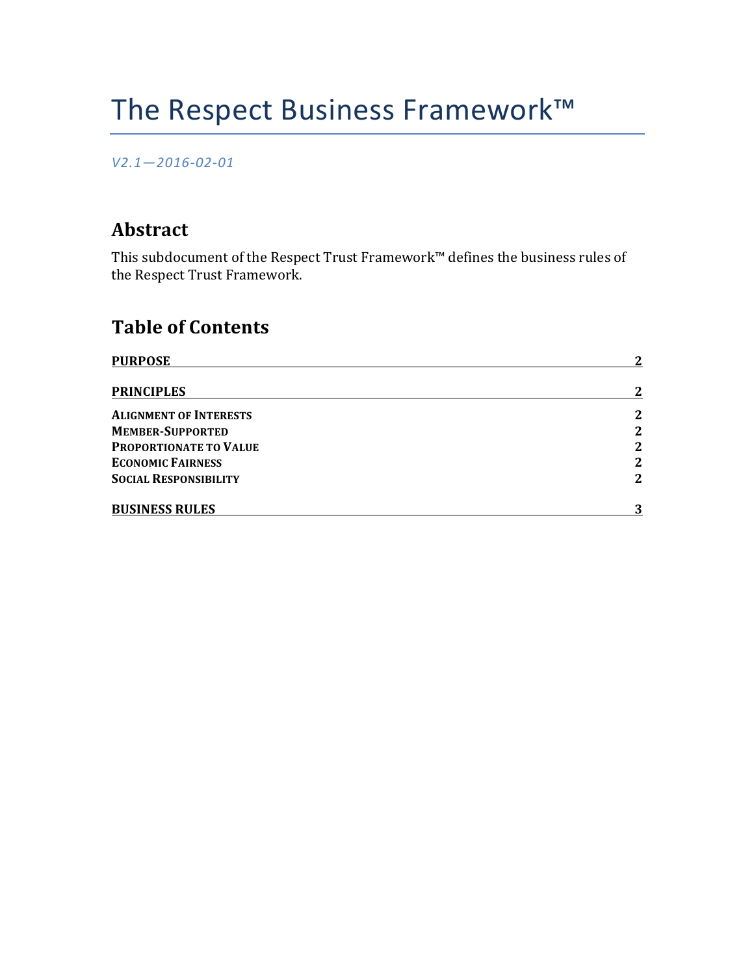# The Respect Business Framework™

#### *V2.1—2016-02-01*

## **Abstract**

This subdocument of the Respect Trust Framework<sup>™</sup> defines the business rules of the Respect Trust Framework.

# **Table of Contents**

| <b>PURPOSE</b>                | $\mathbf{2}$ |
|-------------------------------|--------------|
| <b>PRINCIPLES</b>             | $\mathbf{2}$ |
| <b>ALIGNMENT OF INTERESTS</b> | $\mathbf{2}$ |
| <b>MEMBER-SUPPORTED</b>       | $\mathbf{2}$ |
| PROPORTIONATE TO VALUE        | $\mathbf{2}$ |
| <b>ECONOMIC FAIRNESS</b>      | $\mathbf{2}$ |
| <b>SOCIAL RESPONSIBILITY</b>  | $\mathbf{2}$ |
| <b>BUSINESS RULES</b>         | 3            |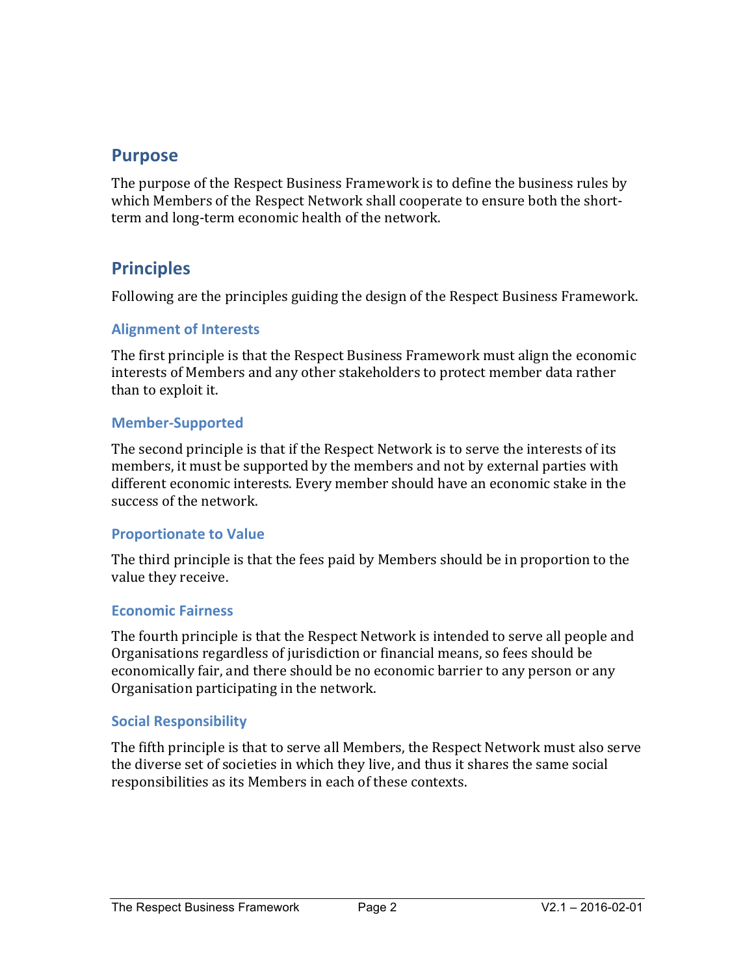### **Purpose**

The purpose of the Respect Business Framework is to define the business rules by which Members of the Respect Network shall cooperate to ensure both the shortterm and long-term economic health of the network.

## **Principles**

Following are the principles guiding the design of the Respect Business Framework.

#### **Alignment of Interests**

The first principle is that the Respect Business Framework must align the economic interests of Members and any other stakeholders to protect member data rather than to exploit it.

#### **Member-Supported**

The second principle is that if the Respect Network is to serve the interests of its members, it must be supported by the members and not by external parties with different economic interests. Every member should have an economic stake in the success of the network.

#### **Proportionate to Value**

The third principle is that the fees paid by Members should be in proportion to the value they receive.

#### **Economic Fairness**

The fourth principle is that the Respect Network is intended to serve all people and Organisations regardless of jurisdiction or financial means, so fees should be economically fair, and there should be no economic barrier to any person or any Organisation participating in the network.

#### **Social Responsibility**

The fifth principle is that to serve all Members, the Respect Network must also serve the diverse set of societies in which they live, and thus it shares the same social responsibilities as its Members in each of these contexts.